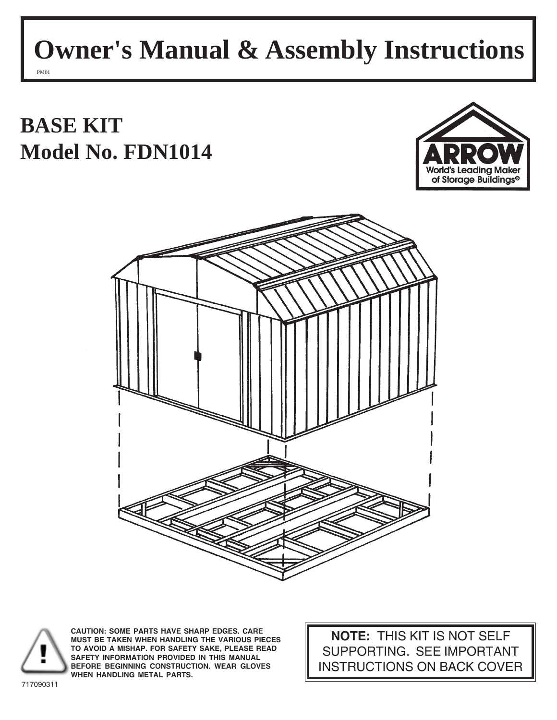### **Owner's Manual & Assembly Instructions** PM01

### **BASE KIT Model No. FDN1014**





**CAUTION: SOME PARTS HAVE SHARP EDGES. CARE MUST BE TAKEN WHEN HANDLING THE VARIOUS PIECES TO AVOID A MISHAP. FOR SAFETY SAKE, PLEASE READ SAFETY INFORMATION PROVIDED IN THIS MANUAL BEFORE BEGINNING CONSTRUCTION. WEAR GLOVES WHEN HANDLING METAL PARTS.**

**NOTE:** THIS KIT IS NOT SELF SUPPORTING. SEE IMPORTANT INSTRUCTIONS ON BACK COVER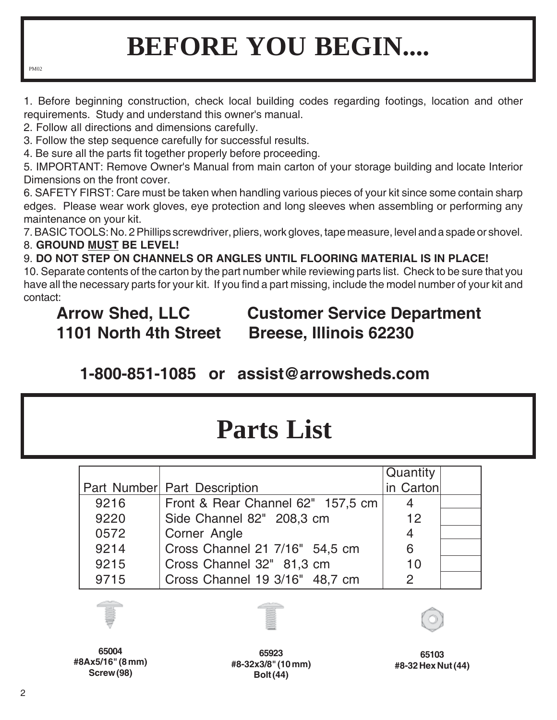## **BEFORE YOU BEGIN....**

PM02

1. Before beginning construction, check local building codes regarding footings, location and other requirements. Study and understand this owner's manual.

2. Follow all directions and dimensions carefully.

3. Follow the step sequence carefully for successful results.

4. Be sure all the parts fit together properly before proceeding.

5. IMPORTANT: Remove Owner's Manual from main carton of your storage building and locate Interior Dimensions on the front cover.

6. SAFETY FIRST: Care must be taken when handling various pieces of your kit since some contain sharp edges. Please wear work gloves, eye protection and long sleeves when assembling or performing any maintenance on your kit.

7. BASIC TOOLS: No. 2 Phillips screwdriver, pliers, work gloves, tape measure, level and a spade or shovel.

8. **GROUND MUST BE LEVEL!**

9. **DO NOT STEP ON CHANNELS OR ANGLES UNTIL FLOORING MATERIAL IS IN PLACE!**

10. Separate contents of the carton by the part number while reviewing parts list. Check to be sure that you have all the necessary parts for your kit. If you find a part missing, include the model number of your kit and contact:

# **1101 North 4th Street Breese, Illinois 62230**

# **Arrow Shed, LLC Customer Service Department**

**1-800-851-1085 or assist@arrowsheds.com**

### **Parts List**

|      |                                   | Quantity      |  |
|------|-----------------------------------|---------------|--|
|      | Part Number Part Description      | in Carton     |  |
| 9216 | Front & Rear Channel 62" 157,5 cm | 4             |  |
| 9220 | Side Channel 82" 208,3 cm         | 12            |  |
| 0572 | Corner Angle                      | 4             |  |
| 9214 | Cross Channel 21 7/16" 54,5 cm    | 6             |  |
| 9215 | Cross Channel 32" 81,3 cm         | 10            |  |
| 9715 | Cross Channel 19 3/16" 48.7 cm    | $\mathcal{P}$ |  |



**65004 #8Ax5/16" (8 mm) Screw (98)**

**65923 #8-32x3/8" (10 mm) Bolt (44)**

**65103 #8-32 Hex Nut (44)**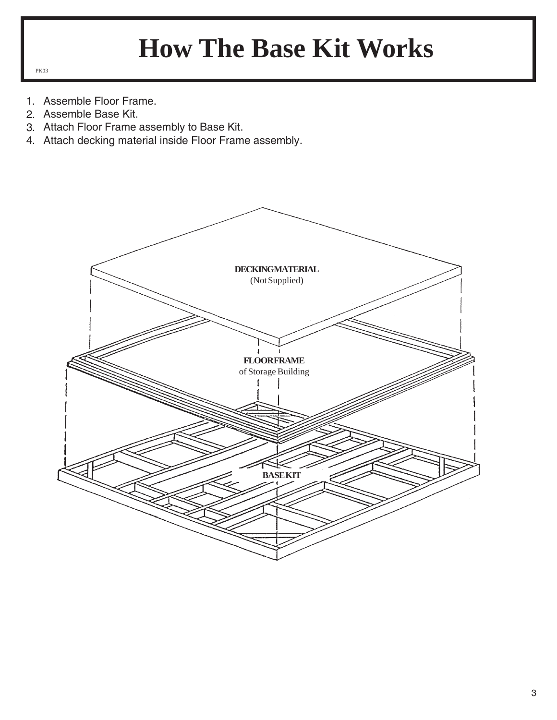### **How The Base Kit Works**

PK03

- 1. Assemble Floor Frame.
- 2. Assemble Base Kit.
- 3. Attach Floor Frame assembly to Base Kit.
- 4. Attach decking material inside Floor Frame assembly.

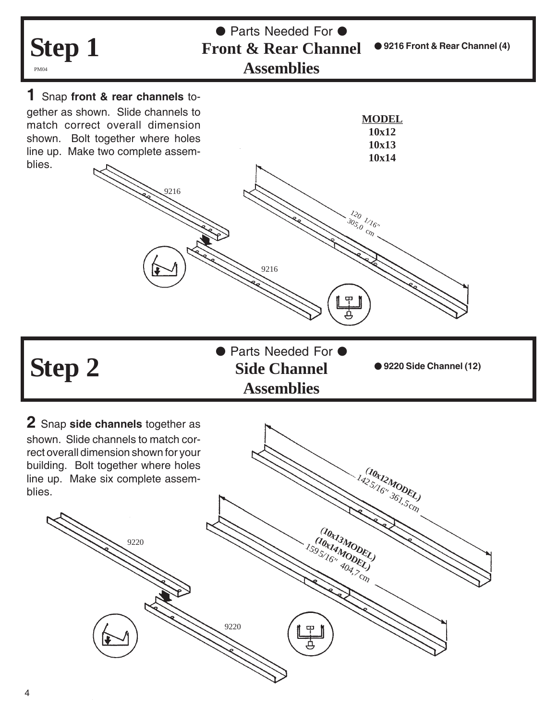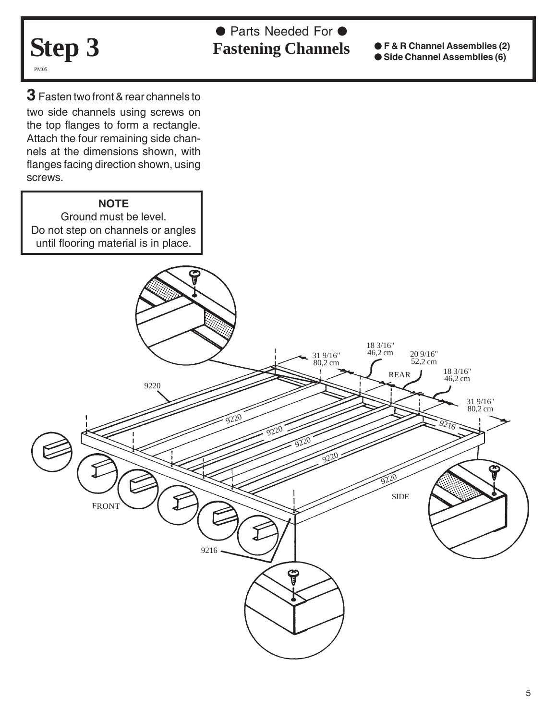### **Step 3** PM05

#### ● Parts Needed For ● **Fastening Channels** ● **F & R Channel Assemblies (2)**

● **Side Channel Assemblies (6)**

**3** Fasten two front & rear channels to two side channels using screws on the top flanges to form a rectangle. Attach the four remaining side channels at the dimensions shown, with flanges facing direction shown, using screws.

#### **NOTE**

Ground must be level. Do not step on channels or angles until flooring material is in place.

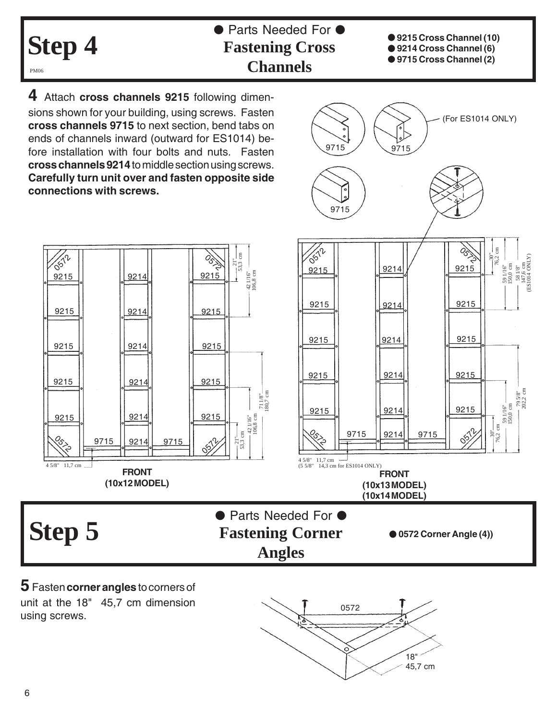

**5** Fasten **corner angles** to corners of unit at the 18" 45,7 cm dimension using screws.

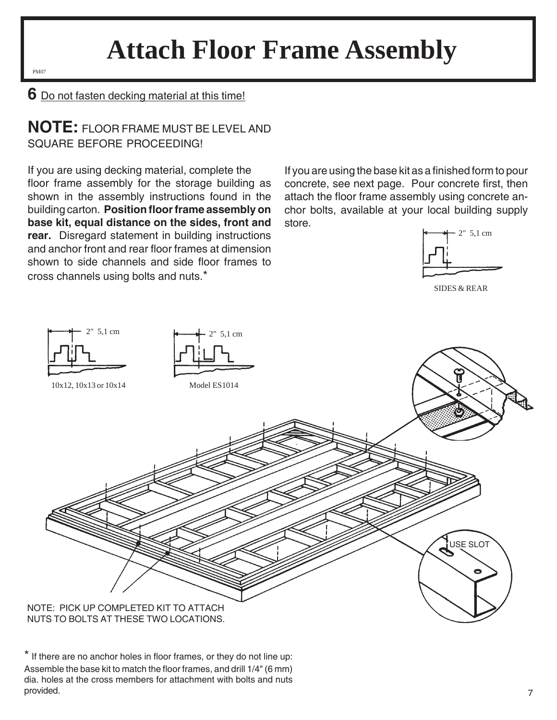### **Attach Floor Frame Assembly**

#### **6** Do not fasten decking material at this time!

PM07

#### **NOTE:** FLOOR FRAME MUST BE LEVEL AND SQUARE BEFORE PROCEEDING!

If you are using decking material, complete the floor frame assembly for the storage building as shown in the assembly instructions found in the building carton. **Position floor frame assembly on base kit, equal distance on the sides, front and rear.** Disregard statement in building instructions and anchor front and rear floor frames at dimension shown to side channels and side floor frames to cross channels using bolts and nuts.\*

If you are using the base kit as a finished form to pour concrete, see next page. Pour concrete first, then attach the floor frame assembly using concrete anchor bolts, available at your local building supply store.



SIDES & REAR



\* If there are no anchor holes in floor frames, or they do not line up: Assemble the base kit to match the floor frames, and drill 1/4" (6 mm) dia. holes at the cross members for attachment with bolts and nuts provided.